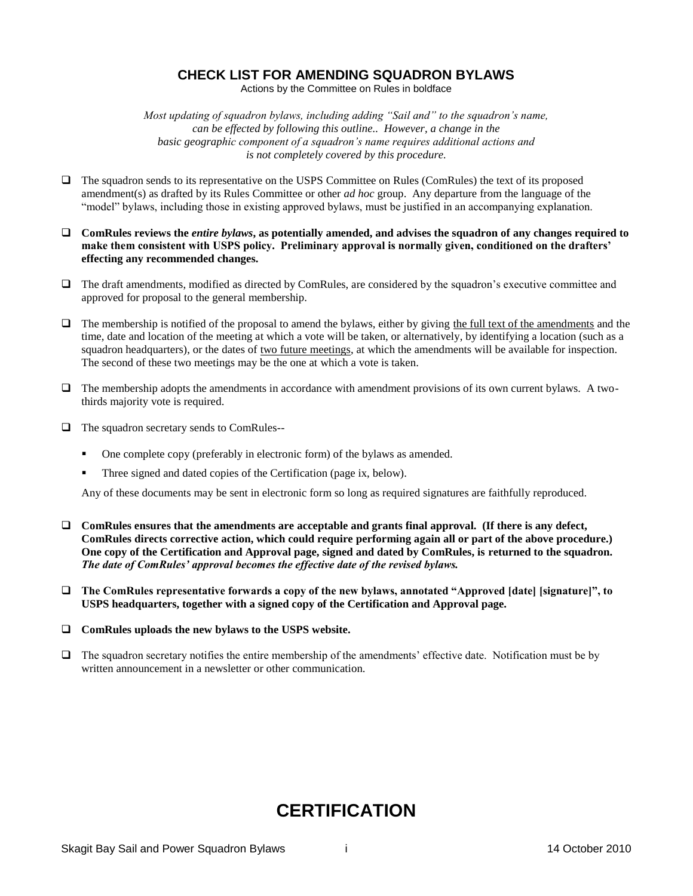### **CHECK LIST FOR AMENDING SQUADRON BYLAWS**

Actions by the Committee on Rules in boldface

*Most updating of squadron bylaws, including adding "Sail and" to the squadron's name, can be effected by following this outline.. However, a change in the basic geographic component of a squadron's name requires additional actions and is not completely covered by this procedure.*

- The squadron sends to its representative on the USPS Committee on Rules (ComRules) the text of its proposed amendment(s) as drafted by its Rules Committee or other *ad hoc* group. Any departure from the language of the "model" bylaws, including those in existing approved bylaws, must be justified in an accompanying explanation.
- **ComRules reviews the** *entire bylaws***, as potentially amended, and advises the squadron of any changes required to make them consistent with USPS policy. Preliminary approval is normally given, conditioned on the drafters' effecting any recommended changes.**
- The draft amendments, modified as directed by ComRules, are considered by the squadron's executive committee and approved for proposal to the general membership.
- $\Box$  The membership is notified of the proposal to amend the bylaws, either by giving the full text of the amendments and the time, date and location of the meeting at which a vote will be taken, or alternatively, by identifying a location (such as a squadron headquarters), or the dates of two future meetings, at which the amendments will be available for inspection. The second of these two meetings may be the one at which a vote is taken.
- $\Box$  The membership adopts the amendments in accordance with amendment provisions of its own current bylaws. A twothirds majority vote is required.
- The squadron secretary sends to ComRules--
	- One complete copy (preferably in electronic form) of the bylaws as amended.
	- Three signed and dated copies of the Certification (page ix, below).

Any of these documents may be sent in electronic form so long as required signatures are faithfully reproduced.

- **ComRules ensures that the amendments are acceptable and grants final approval. (If there is any defect, ComRules directs corrective action, which could require performing again all or part of the above procedure.) One copy of the Certification and Approval page, signed and dated by ComRules, is returned to the squadron.**  *The date of ComRules' approval becomes the effective date of the revised bylaws.*
- **The ComRules representative forwards a copy of the new bylaws, annotated "Approved [date] [signature]", to USPS headquarters, together with a signed copy of the Certification and Approval page.**
- **ComRules uploads the new bylaws to the USPS website.**
- $\Box$  The squadron secretary notifies the entire membership of the amendments' effective date. Notification must be by written announcement in a newsletter or other communication.

# **CERTIFICATION**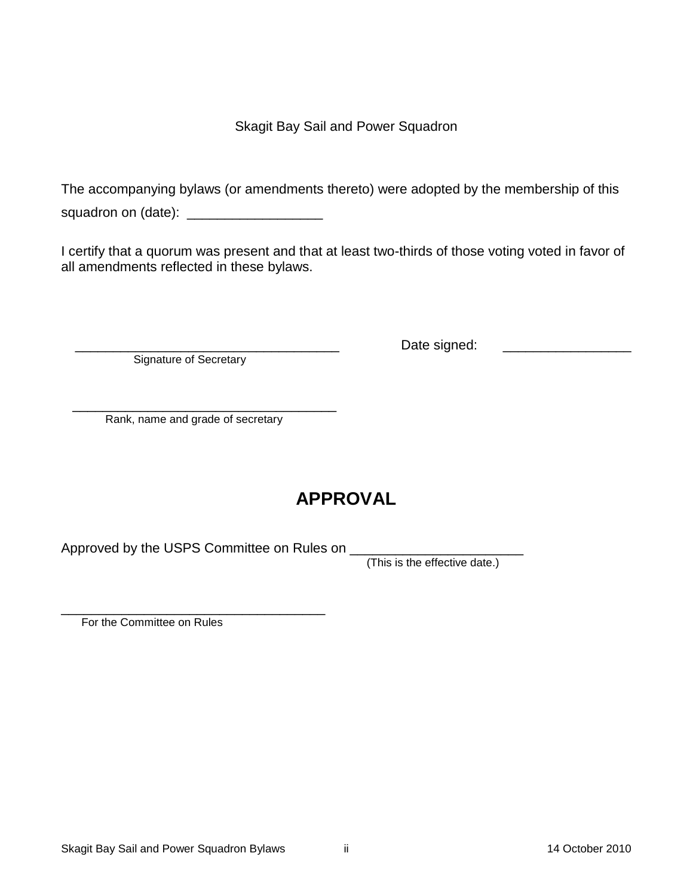Skagit Bay Sail and Power Squadron

The accompanying bylaws (or amendments thereto) were adopted by the membership of this squadron on (date): \_\_\_\_\_\_\_\_\_\_\_\_\_\_\_\_\_\_\_\_\_\_\_\_

I certify that a quorum was present and that at least two-thirds of those voting voted in favor of all amendments reflected in these bylaws.

Signature of Secretary

\_\_\_\_\_\_\_\_\_\_\_\_\_\_\_\_\_\_\_\_\_\_\_\_\_\_\_\_\_\_\_\_\_\_\_ Date signed: \_\_\_\_\_\_\_\_\_\_\_\_\_\_\_\_\_

 $\overline{\phantom{a}}$  , which is the set of the set of the set of the set of the set of the set of the set of the set of the set of the set of the set of the set of the set of the set of the set of the set of the set of the set of Rank, name and grade of secretary

# **APPROVAL**

Approved by the USPS Committee on Rules on

(This is the effective date.)

\_\_\_\_\_\_\_\_\_\_\_\_\_\_\_\_\_\_\_\_\_\_\_\_\_\_\_\_\_\_\_\_\_\_\_ For the Committee on Rules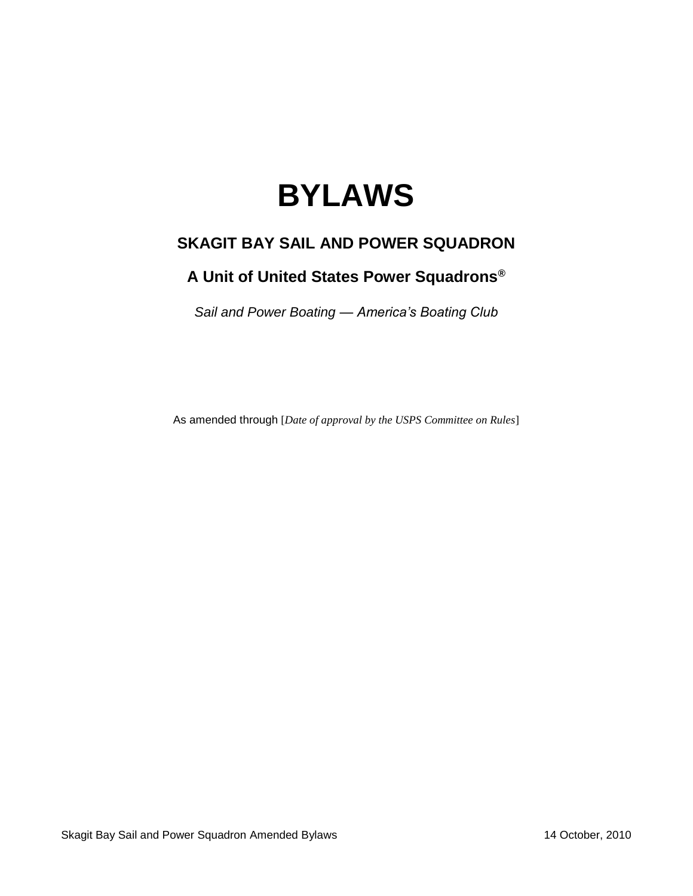# **BYLAWS**

# **SKAGIT BAY SAIL AND POWER SQUADRON**

# **A Unit of United States Power Squadrons®**

*Sail and Power Boating — America's Boating Club*

As amended through [*Date of approval by the USPS Committee on Rules*]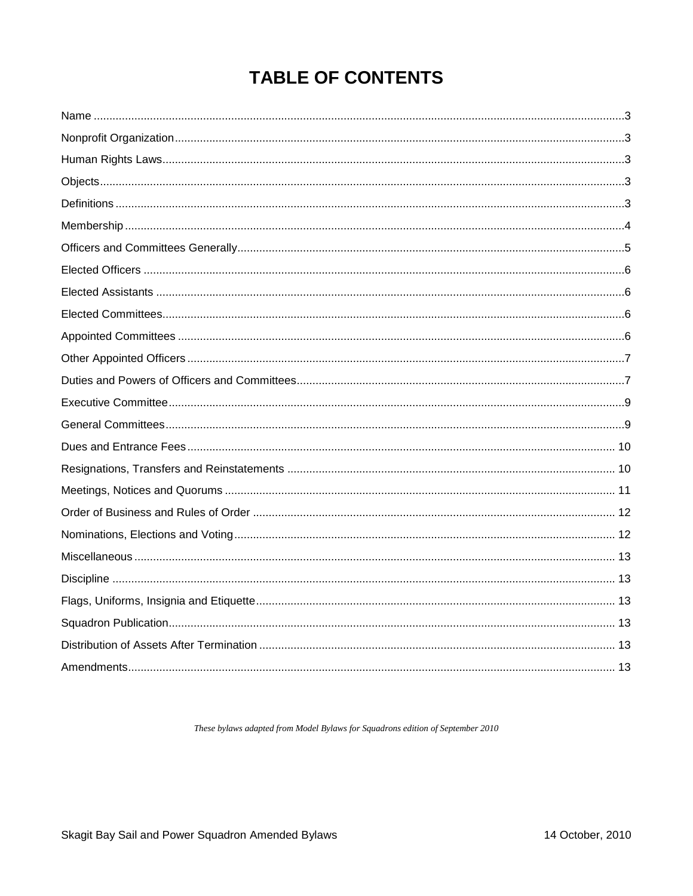# **TABLE OF CONTENTS**

These bylaws adapted from Model Bylaws for Squadrons edition of September 2010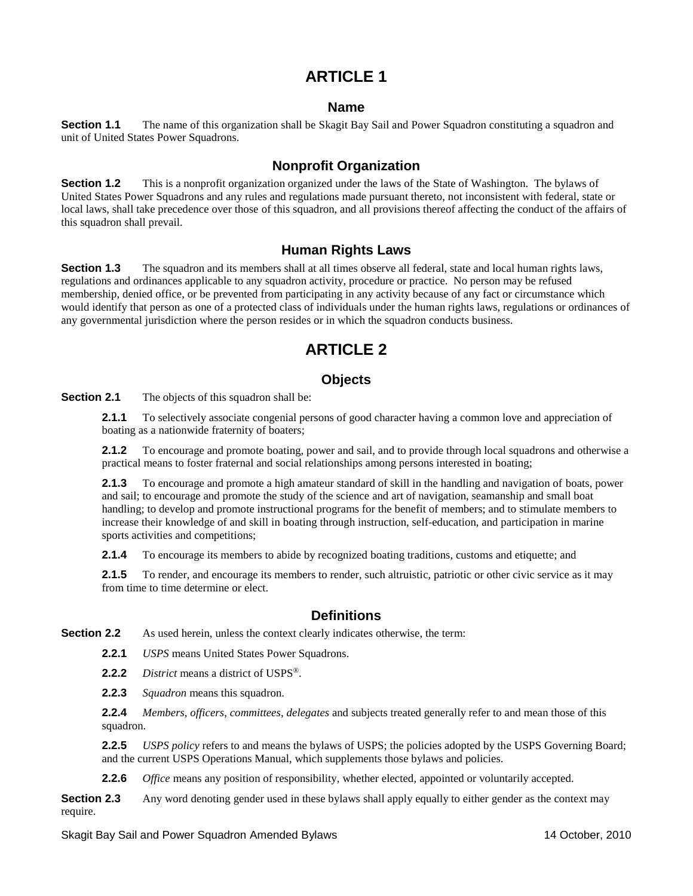### **Name**

<span id="page-4-1"></span><span id="page-4-0"></span>**Section 1.1** The name of this organization shall be Skagit Bay Sail and Power Squadron constituting a squadron and unit of United States Power Squadrons.

### **Nonprofit Organization**

**Section 1.2** This is a nonprofit organization organized under the laws of the State of Washington. The bylaws of United States Power Squadrons and any rules and regulations made pursuant thereto, not inconsistent with federal, state or local laws, shall take precedence over those of this squadron, and all provisions thereof affecting the conduct of the affairs of this squadron shall prevail.

### **Human Rights Laws**

<span id="page-4-2"></span>**Section 1.3** The squadron and its members shall at all times observe all federal, state and local human rights laws, regulations and ordinances applicable to any squadron activity, procedure or practice. No person may be refused membership, denied office, or be prevented from participating in any activity because of any fact or circumstance which would identify that person as one of a protected class of individuals under the human rights laws, regulations or ordinances of any governmental jurisdiction where the person resides or in which the squadron conducts business.

# **ARTICLE 2**

### **Objects**

<span id="page-4-3"></span>**Section 2.1** The objects of this squadron shall be:

**2.1.1** To selectively associate congenial persons of good character having a common love and appreciation of boating as a nationwide fraternity of boaters;

**2.1.2** To encourage and promote boating, power and sail, and to provide through local squadrons and otherwise a practical means to foster fraternal and social relationships among persons interested in boating;

**2.1.3** To encourage and promote a high amateur standard of skill in the handling and navigation of boats, power and sail; to encourage and promote the study of the science and art of navigation, seamanship and small boat handling; to develop and promote instructional programs for the benefit of members; and to stimulate members to increase their knowledge of and skill in boating through instruction, self-education, and participation in marine sports activities and competitions;

**2.1.4** To encourage its members to abide by recognized boating traditions, customs and etiquette; and

**2.1.5** To render, and encourage its members to render, such altruistic, patriotic or other civic service as it may from time to time determine or elect.

### **Definitions**

<span id="page-4-4"></span>**Section 2.2** As used herein, unless the context clearly indicates otherwise, the term:

- **2.2.1** *USPS* means United States Power Squadrons.
- **2.2.2** *District* means a district of USPS®.
- **2.2.3** *Squadron* means this squadron.

**2.2.4** *Members*, *officers*, *committees*, *delegates* and subjects treated generally refer to and mean those of this squadron.

**2.2.5** *USPS policy* refers to and means the bylaws of USPS; the policies adopted by the USPS Governing Board; and the current USPS Operations Manual, which supplements those bylaws and policies.

**2.2.6** *Office* means any position of responsibility, whether elected, appointed or voluntarily accepted.

**Section 2.3** Any word denoting gender used in these bylaws shall apply equally to either gender as the context may require.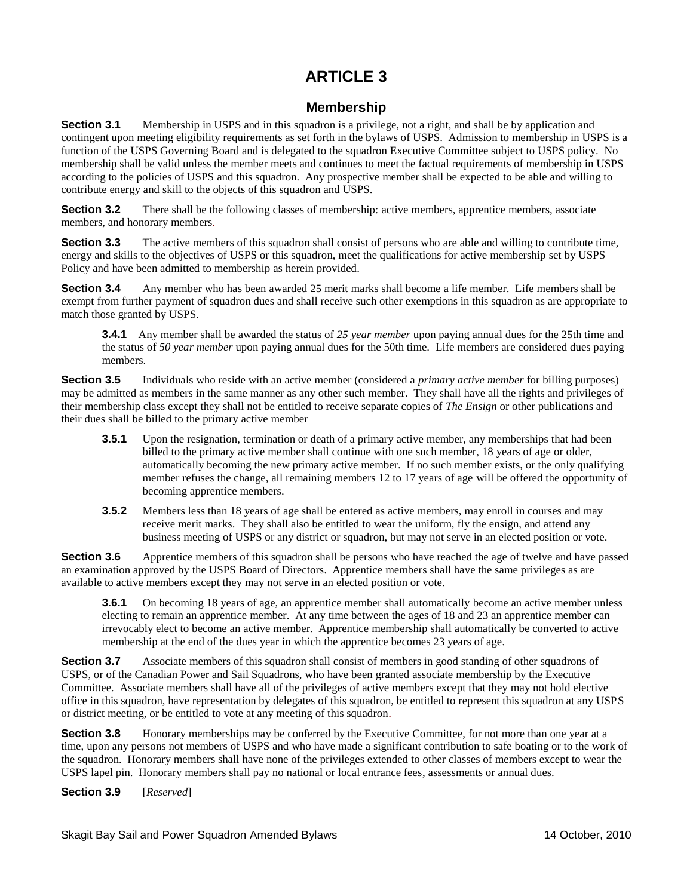# **Membership**

<span id="page-5-0"></span>**Section 3.1** Membership in USPS and in this squadron is a privilege, not a right, and shall be by application and contingent upon meeting eligibility requirements as set forth in the bylaws of USPS. Admission to membership in USPS is a function of the USPS Governing Board and is delegated to the squadron Executive Committee subject to USPS policy. No membership shall be valid unless the member meets and continues to meet the factual requirements of membership in USPS according to the policies of USPS and this squadron. Any prospective member shall be expected to be able and willing to contribute energy and skill to the objects of this squadron and USPS.

**Section 3.2** There shall be the following classes of membership: active members, apprentice members, associate members, and honorary members.

**Section 3.3** The active members of this squadron shall consist of persons who are able and willing to contribute time, energy and skills to the objectives of USPS or this squadron, meet the qualifications for active membership set by USPS Policy and have been admitted to membership as herein provided.

**Section 3.4** Any member who has been awarded 25 merit marks shall become a life member. Life members shall be exempt from further payment of squadron dues and shall receive such other exemptions in this squadron as are appropriate to match those granted by USPS.

**3.4.1**Any member shall be awarded the status of *25 year member* upon paying annual dues for the 25th time and the status of *50 year member* upon paying annual dues for the 50th time. Life members are considered dues paying members.

**Section 3.5** Individuals who reside with an active member (considered a *primary active member* for billing purposes) may be admitted as members in the same manner as any other such member. They shall have all the rights and privileges of their membership class except they shall not be entitled to receive separate copies of *The Ensign* or other publications and their dues shall be billed to the primary active member

- **3.5.1** Upon the resignation, termination or death of a primary active member, any memberships that had been billed to the primary active member shall continue with one such member, 18 years of age or older, automatically becoming the new primary active member. If no such member exists, or the only qualifying member refuses the change, all remaining members 12 to 17 years of age will be offered the opportunity of becoming apprentice members.
- **3.5.2** Members less than 18 years of age shall be entered as active members, may enroll in courses and may receive merit marks. They shall also be entitled to wear the uniform, fly the ensign, and attend any business meeting of USPS or any district or squadron, but may not serve in an elected position or vote.

**Section 3.6** Apprentice members of this squadron shall be persons who have reached the age of twelve and have passed an examination approved by the USPS Board of Directors. Apprentice members shall have the same privileges as are available to active members except they may not serve in an elected position or vote.

**3.6.1** On becoming 18 years of age, an apprentice member shall automatically become an active member unless electing to remain an apprentice member. At any time between the ages of 18 and 23 an apprentice member can irrevocably elect to become an active member. Apprentice membership shall automatically be converted to active membership at the end of the dues year in which the apprentice becomes 23 years of age.

**Section 3.7** Associate members of this squadron shall consist of members in good standing of other squadrons of USPS, or of the Canadian Power and Sail Squadrons, who have been granted associate membership by the Executive Committee. Associate members shall have all of the privileges of active members except that they may not hold elective office in this squadron, have representation by delegates of this squadron, be entitled to represent this squadron at any USPS or district meeting, or be entitled to vote at any meeting of this squadron.

**Section 3.8** Honorary memberships may be conferred by the Executive Committee, for not more than one year at a time, upon any persons not members of USPS and who have made a significant contribution to safe boating or to the work of the squadron. Honorary members shall have none of the privileges extended to other classes of members except to wear the USPS lapel pin. Honorary members shall pay no national or local entrance fees, assessments or annual dues.

**Section 3.9** [*Reserved*]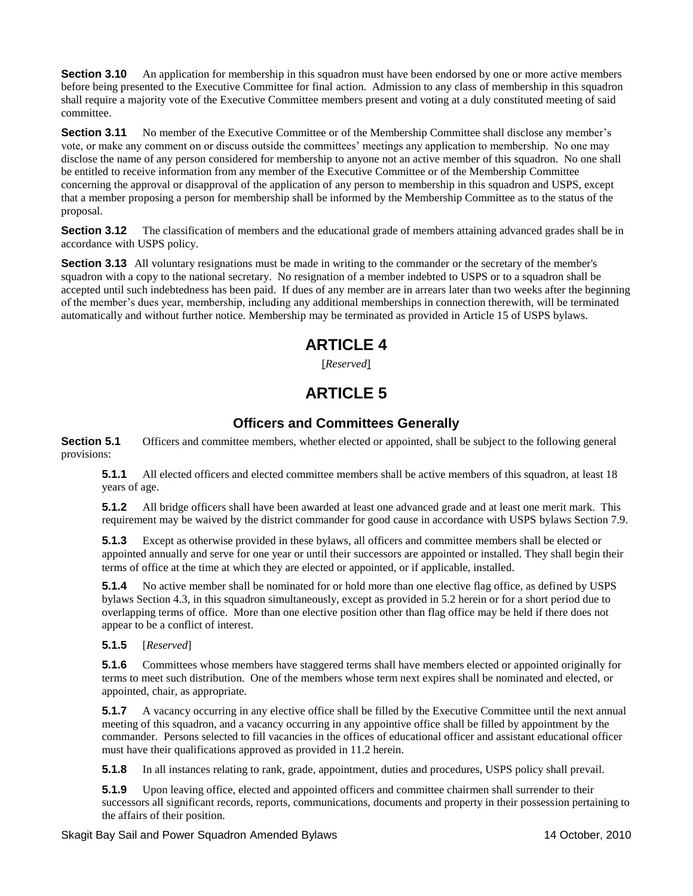**Section 3.10** An application for membership in this squadron must have been endorsed by one or more active members before being presented to the Executive Committee for final action. Admission to any class of membership in this squadron shall require a majority vote of the Executive Committee members present and voting at a duly constituted meeting of said committee.

**Section 3.11** No member of the Executive Committee or of the Membership Committee shall disclose any member's vote, or make any comment on or discuss outside the committees' meetings any application to membership. No one may disclose the name of any person considered for membership to anyone not an active member of this squadron. No one shall be entitled to receive information from any member of the Executive Committee or of the Membership Committee concerning the approval or disapproval of the application of any person to membership in this squadron and USPS, except that a member proposing a person for membership shall be informed by the Membership Committee as to the status of the proposal.

**Section 3.12** The classification of members and the educational grade of members attaining advanced grades shall be in accordance with USPS policy.

**Section 3.13** All voluntary resignations must be made in writing to the commander or the secretary of the member's squadron with a copy to the national secretary. No resignation of a member indebted to USPS or to a squadron shall be accepted until such indebtedness has been paid. If dues of any member are in arrears later than two weeks after the beginning of the member's dues year, membership, including any additional memberships in connection therewith, will be terminated automatically and without further notice. Membership may be terminated as provided in Article 15 of USPS bylaws.

# **ARTICLE 4**

[*Reserved*]

# **ARTICLE 5**

# **Officers and Committees Generally**

<span id="page-6-0"></span>**Section 5.1** Officers and committee members, whether elected or appointed, shall be subject to the following general provisions:

**5.1.1** All elected officers and elected committee members shall be active members of this squadron, at least 18 years of age.

**5.1.2** All bridge officers shall have been awarded at least one advanced grade and at least one merit mark. This requirement may be waived by the district commander for good cause in accordance with USPS bylaws Section 7.9.

**5.1.3** Except as otherwise provided in these bylaws, all officers and committee members shall be elected or appointed annually and serve for one year or until their successors are appointed or installed. They shall begin their terms of office at the time at which they are elected or appointed, or if applicable, installed.

**5.1.4** No active member shall be nominated for or hold more than one elective flag office, as defined by USPS bylaws Section 4.3, in this squadron simultaneously, except as provided in 5.2 herein or for a short period due to overlapping terms of office. More than one elective position other than flag office may be held if there does not appear to be a conflict of interest.

#### **5.1.5** [*Reserved*]

**5.1.6** Committees whose members have staggered terms shall have members elected or appointed originally for terms to meet such distribution. One of the members whose term next expires shall be nominated and elected, or appointed, chair, as appropriate.

**5.1.7** A vacancy occurring in any elective office shall be filled by the Executive Committee until the next annual meeting of this squadron, and a vacancy occurring in any appointive office shall be filled by appointment by the commander. Persons selected to fill vacancies in the offices of educational officer and assistant educational officer must have their qualifications approved as provided in 11.2 herein.

**5.1.8** In all instances relating to rank, grade, appointment, duties and procedures, USPS policy shall prevail.

**5.1.9** Upon leaving office, elected and appointed officers and committee chairmen shall surrender to their successors all significant records, reports, communications, documents and property in their possession pertaining to the affairs of their position.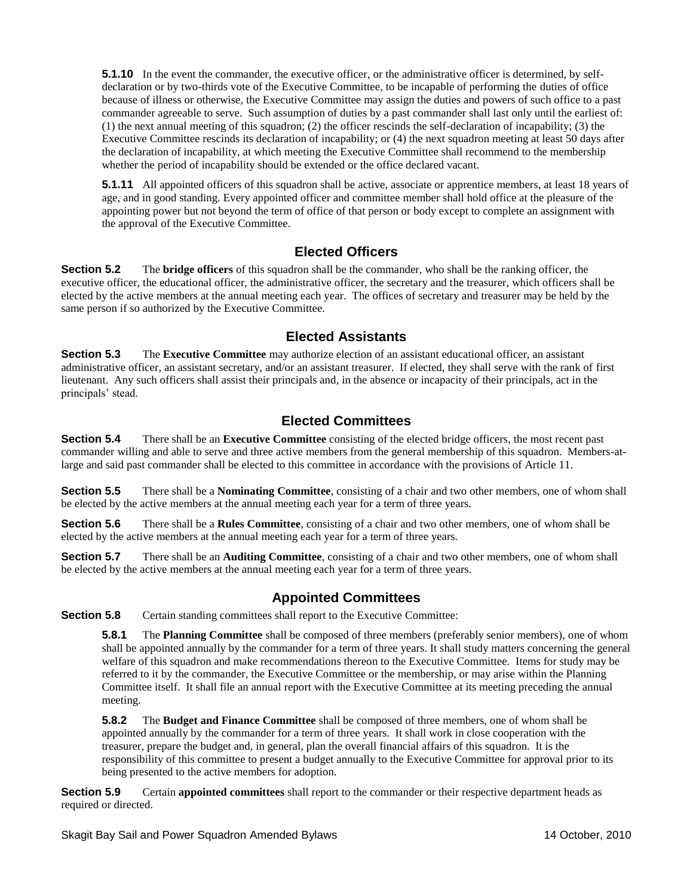**5.1.10** In the event the commander, the executive officer, or the administrative officer is determined, by selfdeclaration or by two-thirds vote of the Executive Committee, to be incapable of performing the duties of office because of illness or otherwise, the Executive Committee may assign the duties and powers of such office to a past commander agreeable to serve. Such assumption of duties by a past commander shall last only until the earliest of: (1) the next annual meeting of this squadron; (2) the officer rescinds the self-declaration of incapability; (3) the Executive Committee rescinds its declaration of incapability; or (4) the next squadron meeting at least 50 days after the declaration of incapability, at which meeting the Executive Committee shall recommend to the membership whether the period of incapability should be extended or the office declared vacant.

**5.1.11** All appointed officers of this squadron shall be active, associate or apprentice members, at least 18 years of age, and in good standing. Every appointed officer and committee member shall hold office at the pleasure of the appointing power but not beyond the term of office of that person or body except to complete an assignment with the approval of the Executive Committee.

## **Elected Officers**

<span id="page-7-0"></span>**Section 5.2** The **bridge officers** of this squadron shall be the commander, who shall be the ranking officer, the executive officer, the educational officer, the administrative officer, the secretary and the treasurer, which officers shall be elected by the active members at the annual meeting each year. The offices of secretary and treasurer may be held by the same person if so authorized by the Executive Committee.

### **Elected Assistants**

<span id="page-7-1"></span>**Section 5.3** The **Executive Committee** may authorize election of an assistant educational officer, an assistant administrative officer, an assistant secretary, and/or an assistant treasurer. If elected, they shall serve with the rank of first lieutenant. Any such officers shall assist their principals and, in the absence or incapacity of their principals, act in the principals' stead.

# **Elected Committees**

<span id="page-7-2"></span>**Section 5.4** There shall be an **Executive Committee** consisting of the elected bridge officers*,* the most recent past commander willing and able to serve and three active members from the general membership of this squadron. Members-atlarge and said past commander shall be elected to this committee in accordance with the provisions of Article 11.

**Section 5.5** There shall be a **Nominating Committee**, consisting of a chair and two other members, one of whom shall be elected by the active members at the annual meeting each year for a term of three years.

**Section 5.6** There shall be a **Rules Committee**, consisting of a chair and two other members, one of whom shall be elected by the active members at the annual meeting each year for a term of three years.

**Section 5.7** There shall be an **Auditing Committee**, consisting of a chair and two other members, one of whom shall be elected by the active members at the annual meeting each year for a term of three years.

## **Appointed Committees**

<span id="page-7-3"></span>**Section 5.8** Certain standing committees shall report to the Executive Committee:

**5.8.1** The **Planning Committee** shall be composed of three members (preferably senior members), one of whom shall be appointed annually by the commander for a term of three years. It shall study matters concerning the general welfare of this squadron and make recommendations thereon to the Executive Committee. Items for study may be referred to it by the commander, the Executive Committee or the membership, or may arise within the Planning Committee itself. It shall file an annual report with the Executive Committee at its meeting preceding the annual meeting.

**5.8.2** The **Budget and Finance Committee** shall be composed of three members, one of whom shall be appointed annually by the commander for a term of three years. It shall work in close cooperation with the treasurer, prepare the budget and, in general, plan the overall financial affairs of this squadron. It is the responsibility of this committee to present a budget annually to the Executive Committee for approval prior to its being presented to the active members for adoption.

**Section 5.9** Certain **appointed committees** shall report to the commander or their respective department heads as required or directed.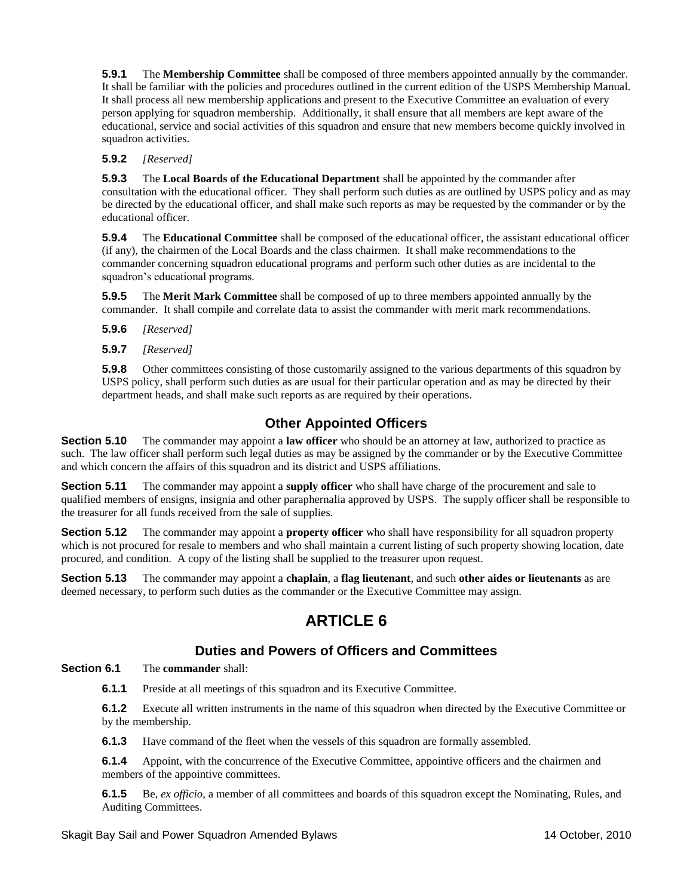**5.9.1** The **Membership Committee** shall be composed of three members appointed annually by the commander. It shall be familiar with the policies and procedures outlined in the current edition of the USPS Membership Manual. It shall process all new membership applications and present to the Executive Committee an evaluation of every person applying for squadron membership. Additionally, it shall ensure that all members are kept aware of the educational, service and social activities of this squadron and ensure that new members become quickly involved in squadron activities.

#### **5.9.2** *[Reserved]*

**5.9.3** The **Local Boards of the Educational Department** shall be appointed by the commander after consultation with the educational officer. They shall perform such duties as are outlined by USPS policy and as may be directed by the educational officer, and shall make such reports as may be requested by the commander or by the educational officer.

**5.9.4** The **Educational Committee** shall be composed of the educational officer, the assistant educational officer (if any), the chairmen of the Local Boards and the class chairmen. It shall make recommendations to the commander concerning squadron educational programs and perform such other duties as are incidental to the squadron's educational programs.

**5.9.5** The **Merit Mark Committee** shall be composed of up to three members appointed annually by the commander. It shall compile and correlate data to assist the commander with merit mark recommendations.

**5.9.6** *[Reserved]*

**5.9.7** *[Reserved]*

**5.9.8** Other committees consisting of those customarily assigned to the various departments of this squadron by USPS policy, shall perform such duties as are usual for their particular operation and as may be directed by their department heads, and shall make such reports as are required by their operations.

# **Other Appointed Officers**

<span id="page-8-0"></span>**Section 5.10** The commander may appoint a **law officer** who should be an attorney at law, authorized to practice as such. The law officer shall perform such legal duties as may be assigned by the commander or by the Executive Committee and which concern the affairs of this squadron and its district and USPS affiliations.

**Section 5.11** The commander may appoint a **supply officer** who shall have charge of the procurement and sale to qualified members of ensigns, insignia and other paraphernalia approved by USPS. The supply officer shall be responsible to the treasurer for all funds received from the sale of supplies.

**Section 5.12** The commander may appoint a **property officer** who shall have responsibility for all squadron property which is not procured for resale to members and who shall maintain a current listing of such property showing location, date procured, and condition. A copy of the listing shall be supplied to the treasurer upon request.

**Section 5.13** The commander may appoint a **chaplain**, a **flag lieutenant**, and such **other aides or lieutenants** as are deemed necessary, to perform such duties as the commander or the Executive Committee may assign.

# **ARTICLE 6**

## **Duties and Powers of Officers and Committees**

#### <span id="page-8-1"></span>**Section 6.1** The **commander** shall:

**6.1.1** Preside at all meetings of this squadron and its Executive Committee.

**6.1.2** Execute all written instruments in the name of this squadron when directed by the Executive Committee or by the membership.

**6.1.3** Have command of the fleet when the vessels of this squadron are formally assembled.

**6.1.4** Appoint, with the concurrence of the Executive Committee, appointive officers and the chairmen and members of the appointive committees.

**6.1.5** Be, *ex officio*, a member of all committees and boards of this squadron except the Nominating, Rules, and Auditing Committees.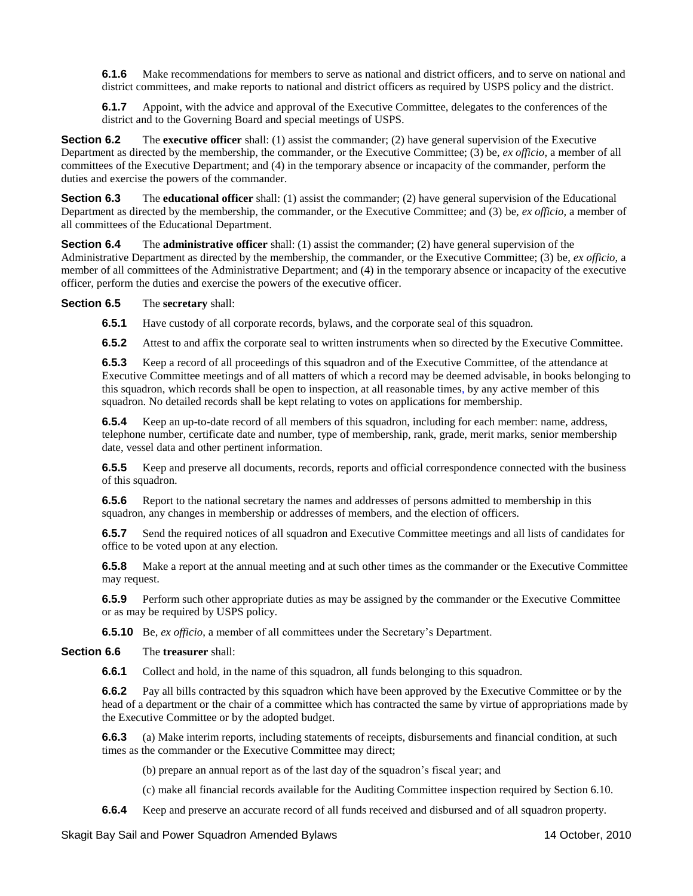**6.1.6** Make recommendations for members to serve as national and district officers, and to serve on national and district committees, and make reports to national and district officers as required by USPS policy and the district.

**6.1.7** Appoint, with the advice and approval of the Executive Committee, delegates to the conferences of the district and to the Governing Board and special meetings of USPS.

**Section 6.2** The **executive officer** shall: (1) assist the commander; (2) have general supervision of the Executive Department as directed by the membership, the commander, or the Executive Committee; (3) be, *ex officio*, a member of all committees of the Executive Department; and (4) in the temporary absence or incapacity of the commander, perform the duties and exercise the powers of the commander.

**Section 6.3** The **educational officer** shall: (1) assist the commander; (2) have general supervision of the Educational Department as directed by the membership, the commander, or the Executive Committee; and (3) be, *ex officio*, a member of all committees of the Educational Department.

**Section 6.4** The **administrative officer** shall: (1) assist the commander; (2) have general supervision of the Administrative Department as directed by the membership, the commander, or the Executive Committee; (3) be, *ex officio*, a member of all committees of the Administrative Department; and (4) in the temporary absence or incapacity of the executive officer, perform the duties and exercise the powers of the executive officer.

#### **Section 6.5** The **secretary** shall:

**6.5.1** Have custody of all corporate records, bylaws, and the corporate seal of this squadron.

**6.5.2** Attest to and affix the corporate seal to written instruments when so directed by the Executive Committee.

**6.5.3** Keep a record of all proceedings of this squadron and of the Executive Committee, of the attendance at Executive Committee meetings and of all matters of which a record may be deemed advisable, in books belonging to this squadron, which records shall be open to inspection, at all reasonable times, by any active member of this squadron. No detailed records shall be kept relating to votes on applications for membership.

**6.5.4** Keep an up-to-date record of all members of this squadron, including for each member: name, address, telephone number, certificate date and number, type of membership, rank, grade, merit marks, senior membership date, vessel data and other pertinent information.

**6.5.5** Keep and preserve all documents, records, reports and official correspondence connected with the business of this squadron.

**6.5.6** Report to the national secretary the names and addresses of persons admitted to membership in this squadron, any changes in membership or addresses of members, and the election of officers.

**6.5.7** Send the required notices of all squadron and Executive Committee meetings and all lists of candidates for office to be voted upon at any election.

**6.5.8** Make a report at the annual meeting and at such other times as the commander or the Executive Committee may request.

**6.5.9** Perform such other appropriate duties as may be assigned by the commander or the Executive Committee or as may be required by USPS policy.

**6.5.10** Be, *ex officio*, a member of all committees under the Secretary's Department.

#### **Section 6.6** The **treasurer** shall:

**6.6.1** Collect and hold, in the name of this squadron, all funds belonging to this squadron.

**6.6.2** Pay all bills contracted by this squadron which have been approved by the Executive Committee or by the head of a department or the chair of a committee which has contracted the same by virtue of appropriations made by the Executive Committee or by the adopted budget.

**6.6.3** (a) Make interim reports, including statements of receipts, disbursements and financial condition, at such times as the commander or the Executive Committee may direct;

(b) prepare an annual report as of the last day of the squadron's fiscal year; and

(c) make all financial records available for the Auditing Committee inspection required by Section 6.10.

**6.6.4** Keep and preserve an accurate record of all funds received and disbursed and of all squadron property.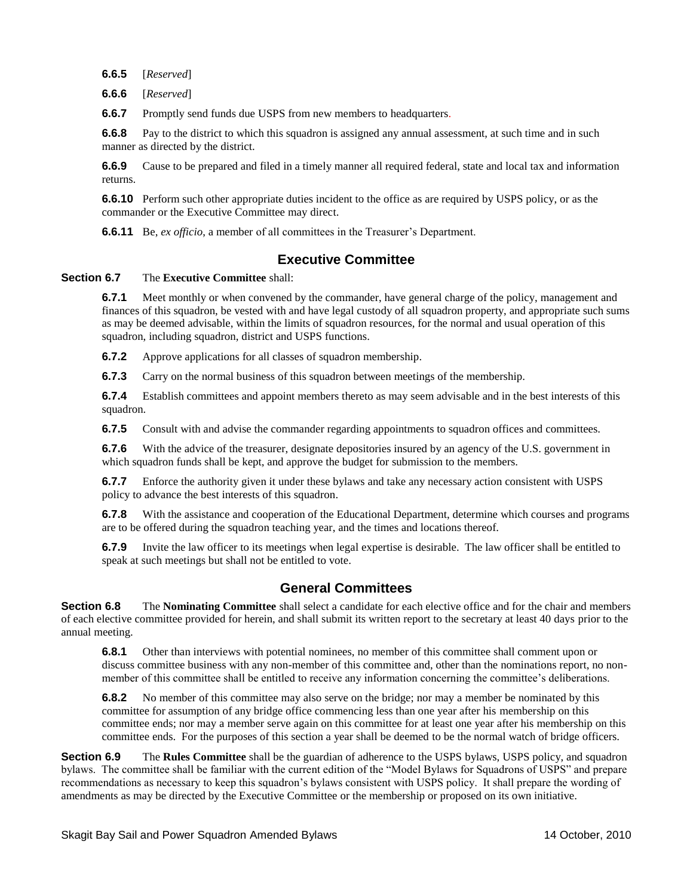**6.6.5** [*Reserved*]

**6.6.6** [*Reserved*]

**6.6.7** Promptly send funds due USPS from new members to headquarters.

**6.6.8** Pay to the district to which this squadron is assigned any annual assessment, at such time and in such manner as directed by the district.

**6.6.9** Cause to be prepared and filed in a timely manner all required federal, state and local tax and information returns.

**6.6.10** Perform such other appropriate duties incident to the office as are required by USPS policy, or as the commander or the Executive Committee may direct.

**6.6.11** Be, *ex officio*, a member of all committees in the Treasurer's Department.

### **Executive Committee**

#### <span id="page-10-0"></span>**Section 6.7** The **Executive Committee** shall:

**6.7.1** Meet monthly or when convened by the commander, have general charge of the policy, management and finances of this squadron, be vested with and have legal custody of all squadron property, and appropriate such sums as may be deemed advisable, within the limits of squadron resources, for the normal and usual operation of this squadron, including squadron, district and USPS functions.

**6.7.2** Approve applications for all classes of squadron membership.

**6.7.3** Carry on the normal business of this squadron between meetings of the membership.

**6.7.4** Establish committees and appoint members thereto as may seem advisable and in the best interests of this squadron.

**6.7.5** Consult with and advise the commander regarding appointments to squadron offices and committees.

**6.7.6** With the advice of the treasurer, designate depositories insured by an agency of the U.S. government in which squadron funds shall be kept, and approve the budget for submission to the members.

**6.7.7** Enforce the authority given it under these bylaws and take any necessary action consistent with USPS policy to advance the best interests of this squadron.

**6.7.8** With the assistance and cooperation of the Educational Department, determine which courses and programs are to be offered during the squadron teaching year, and the times and locations thereof.

**6.7.9** Invite the law officer to its meetings when legal expertise is desirable. The law officer shall be entitled to speak at such meetings but shall not be entitled to vote.

### **General Committees**

<span id="page-10-1"></span>**Section 6.8** The **Nominating Committee** shall select a candidate for each elective office and for the chair and members of each elective committee provided for herein, and shall submit its written report to the secretary at least 40 days prior to the annual meeting.

**6.8.1** Other than interviews with potential nominees, no member of this committee shall comment upon or discuss committee business with any non-member of this committee and, other than the nominations report, no nonmember of this committee shall be entitled to receive any information concerning the committee's deliberations.

**6.8.2** No member of this committee may also serve on the bridge; nor may a member be nominated by this committee for assumption of any bridge office commencing less than one year after his membership on this committee ends; nor may a member serve again on this committee for at least one year after his membership on this committee ends. For the purposes of this section a year shall be deemed to be the normal watch of bridge officers.

**Section 6.9** The **Rules Committee** shall be the guardian of adherence to the USPS bylaws, USPS policy, and squadron bylaws. The committee shall be familiar with the current edition of the "Model Bylaws for Squadrons of USPS" and prepare recommendations as necessary to keep this squadron's bylaws consistent with USPS policy. It shall prepare the wording of amendments as may be directed by the Executive Committee or the membership or proposed on its own initiative.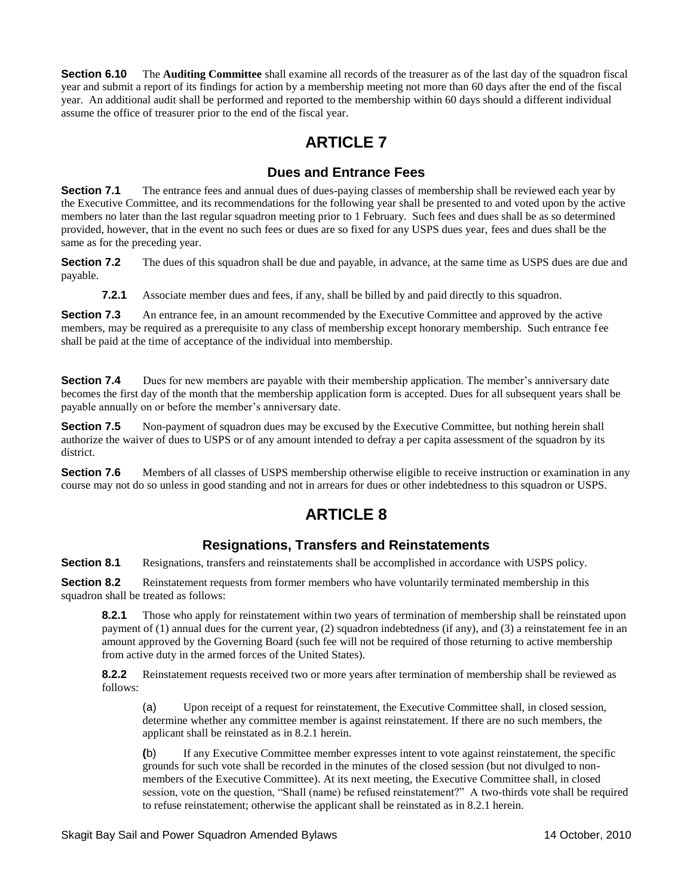**Section 6.10** The **Auditing Committee** shall examine all records of the treasurer as of the last day of the squadron fiscal year and submit a report of its findings for action by a membership meeting not more than 60 days after the end of the fiscal year. An additional audit shall be performed and reported to the membership within 60 days should a different individual assume the office of treasurer prior to the end of the fiscal year.

# **ARTICLE 7**

### **Dues and Entrance Fees**

<span id="page-11-0"></span>**Section 7.1** The entrance fees and annual dues of dues-paying classes of membership shall be reviewed each year by the Executive Committee, and its recommendations for the following year shall be presented to and voted upon by the active members no later than the last regular squadron meeting prior to 1 February. Such fees and dues shall be as so determined provided, however, that in the event no such fees or dues are so fixed for any USPS dues year, fees and dues shall be the same as for the preceding year.

**Section 7.2** The dues of this squadron shall be due and payable, in advance, at the same time as USPS dues are due and payable.

**7.2.1** Associate member dues and fees, if any, shall be billed by and paid directly to this squadron.

**Section 7.3** An entrance fee, in an amount recommended by the Executive Committee and approved by the active members, may be required as a prerequisite to any class of membership except honorary membership. Such entrance fee shall be paid at the time of acceptance of the individual into membership.

**Section 7.4** Dues for new members are payable with their membership application. The member's anniversary date becomes the first day of the month that the membership application form is accepted. Dues for all subsequent years shall be payable annually on or before the member's anniversary date.

**Section 7.5** Non-payment of squadron dues may be excused by the Executive Committee, but nothing herein shall authorize the waiver of dues to USPS or of any amount intended to defray a per capita assessment of the squadron by its district.

**Section 7.6** Members of all classes of USPS membership otherwise eligible to receive instruction or examination in any course may not do so unless in good standing and not in arrears for dues or other indebtedness to this squadron or USPS.

# **ARTICLE 8**

### **Resignations, Transfers and Reinstatements**

<span id="page-11-1"></span>**Section 8.1** Resignations, transfers and reinstatements shall be accomplished in accordance with USPS policy.

**Section 8.2** Reinstatement requests from former members who have voluntarily terminated membership in this squadron shall be treated as follows:

**8.2.1** Those who apply for reinstatement within two years of termination of membership shall be reinstated upon payment of (1) annual dues for the current year, (2) squadron indebtedness (if any), and (3) a reinstatement fee in an amount approved by the Governing Board (such fee will not be required of those returning to active membership from active duty in the armed forces of the United States).

**8.2.2** Reinstatement requests received two or more years after termination of membership shall be reviewed as follows:

(a) Upon receipt of a request for reinstatement, the Executive Committee shall, in closed session, determine whether any committee member is against reinstatement. If there are no such members, the applicant shall be reinstated as in 8.2.1 herein.

**(**b) If any Executive Committee member expresses intent to vote against reinstatement, the specific grounds for such vote shall be recorded in the minutes of the closed session (but not divulged to nonmembers of the Executive Committee). At its next meeting, the Executive Committee shall, in closed session, vote on the question, "Shall (name) be refused reinstatement?" A two-thirds vote shall be required to refuse reinstatement; otherwise the applicant shall be reinstated as in 8.2.1 herein.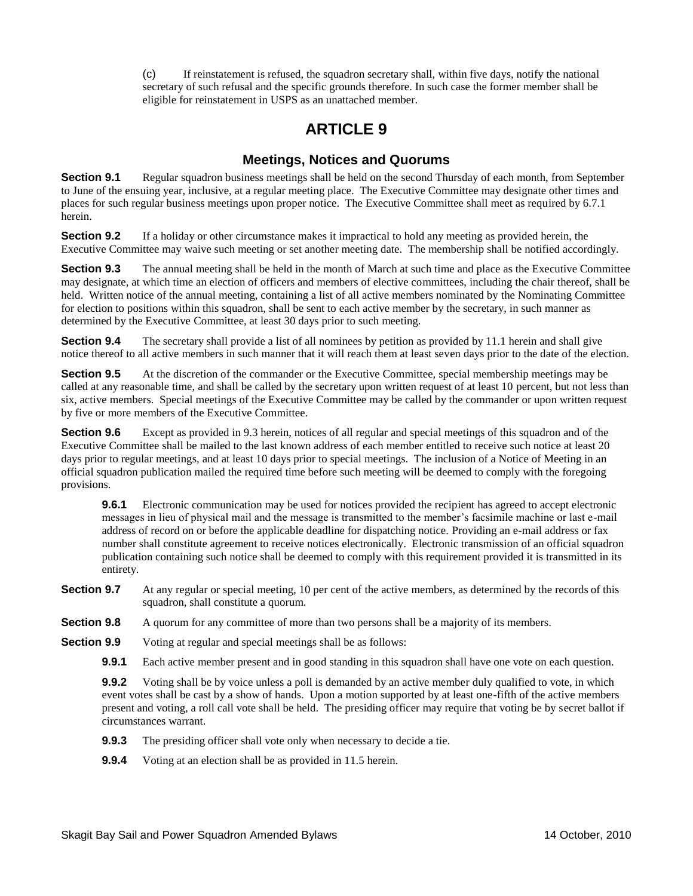(c) If reinstatement is refused, the squadron secretary shall, within five days, notify the national secretary of such refusal and the specific grounds therefore. In such case the former member shall be eligible for reinstatement in USPS as an unattached member.

# **ARTICLE 9**

### **Meetings, Notices and Quorums**

<span id="page-12-0"></span>**Section 9.1** Regular squadron business meetings shall be held on the second Thursday of each month, from September to June of the ensuing year, inclusive, at a regular meeting place. The Executive Committee may designate other times and places for such regular business meetings upon proper notice. The Executive Committee shall meet as required by 6.7.1 herein.

**Section 9.2** If a holiday or other circumstance makes it impractical to hold any meeting as provided herein, the Executive Committee may waive such meeting or set another meeting date. The membership shall be notified accordingly.

**Section 9.3** The annual meeting shall be held in the month of March at such time and place as the Executive Committee may designate, at which time an election of officers and members of elective committees, including the chair thereof, shall be held. Written notice of the annual meeting, containing a list of all active members nominated by the Nominating Committee for election to positions within this squadron, shall be sent to each active member by the secretary, in such manner as determined by the Executive Committee, at least 30 days prior to such meeting.

**Section 9.4** The secretary shall provide a list of all nominees by petition as provided by 11.1 herein and shall give notice thereof to all active members in such manner that it will reach them at least seven days prior to the date of the election.

**Section 9.5** At the discretion of the commander or the Executive Committee, special membership meetings may be called at any reasonable time, and shall be called by the secretary upon written request of at least 10 percent, but not less than six, active members. Special meetings of the Executive Committee may be called by the commander or upon written request by five or more members of the Executive Committee.

**Section 9.6** Except as provided in 9.3 herein, notices of all regular and special meetings of this squadron and of the Executive Committee shall be mailed to the last known address of each member entitled to receive such notice at least 20 days prior to regular meetings, and at least 10 days prior to special meetings. The inclusion of a Notice of Meeting in an official squadron publication mailed the required time before such meeting will be deemed to comply with the foregoing provisions.

**9.6.1** Electronic communication may be used for notices provided the recipient has agreed to accept electronic messages in lieu of physical mail and the message is transmitted to the member's facsimile machine or last e-mail address of record on or before the applicable deadline for dispatching notice. Providing an e-mail address or fax number shall constitute agreement to receive notices electronically. Electronic transmission of an official squadron publication containing such notice shall be deemed to comply with this requirement provided it is transmitted in its entirety.

**Section 9.7** At any regular or special meeting, 10 per cent of the active members, as determined by the records of this squadron, shall constitute a quorum.

- **Section 9.8** A quorum for any committee of more than two persons shall be a majority of its members.
- **Section 9.9** Voting at regular and special meetings shall be as follows:
	- **9.9.1** Each active member present and in good standing in this squadron shall have one vote on each question.

**9.9.2** Voting shall be by voice unless a poll is demanded by an active member duly qualified to vote, in which event votes shall be cast by a show of hands. Upon a motion supported by at least one-fifth of the active members present and voting, a roll call vote shall be held. The presiding officer may require that voting be by secret ballot if circumstances warrant.

- **9.9.3** The presiding officer shall vote only when necessary to decide a tie.
- **9.9.4** Voting at an election shall be as provided in 11.5 herein.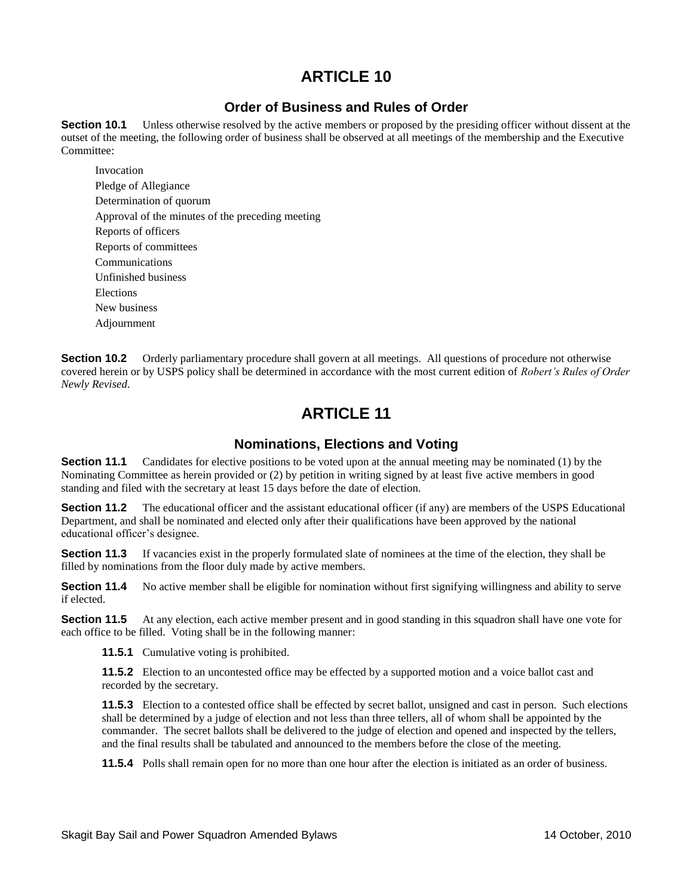## **Order of Business and Rules of Order**

<span id="page-13-0"></span>**Section 10.1** Unless otherwise resolved by the active members or proposed by the presiding officer without dissent at the outset of the meeting, the following order of business shall be observed at all meetings of the membership and the Executive Committee:

 Invocation Pledge of Allegiance Determination of quorum Approval of the minutes of the preceding meeting Reports of officers Reports of committees Communications Unfinished business Elections New business Adjournment

**Section 10.2** Orderly parliamentary procedure shall govern at all meetings. All questions of procedure not otherwise covered herein or by USPS policy shall be determined in accordance with the most current edition of *Robert's Rules of Order Newly Revised*.

# **ARTICLE 11**

### **Nominations, Elections and Voting**

<span id="page-13-1"></span>**Section 11.1** Candidates for elective positions to be voted upon at the annual meeting may be nominated (1) by the Nominating Committee as herein provided or (2) by petition in writing signed by at least five active members in good standing and filed with the secretary at least 15 days before the date of election.

**Section 11.2** The educational officer and the assistant educational officer (if any) are members of the USPS Educational Department, and shall be nominated and elected only after their qualifications have been approved by the national educational officer's designee.

**Section 11.3** If vacancies exist in the properly formulated slate of nominees at the time of the election, they shall be filled by nominations from the floor duly made by active members.

**Section 11.4** No active member shall be eligible for nomination without first signifying willingness and ability to serve if elected.

**Section 11.5** At any election, each active member present and in good standing in this squadron shall have one vote for each office to be filled. Voting shall be in the following manner:

**11.5.1** Cumulative voting is prohibited.

**11.5.2** Election to an uncontested office may be effected by a supported motion and a voice ballot cast and recorded by the secretary.

**11.5.3** Election to a contested office shall be effected by secret ballot, unsigned and cast in person. Such elections shall be determined by a judge of election and not less than three tellers, all of whom shall be appointed by the commander. The secret ballots shall be delivered to the judge of election and opened and inspected by the tellers, and the final results shall be tabulated and announced to the members before the close of the meeting.

**11.5.4** Polls shall remain open for no more than one hour after the election is initiated as an order of business.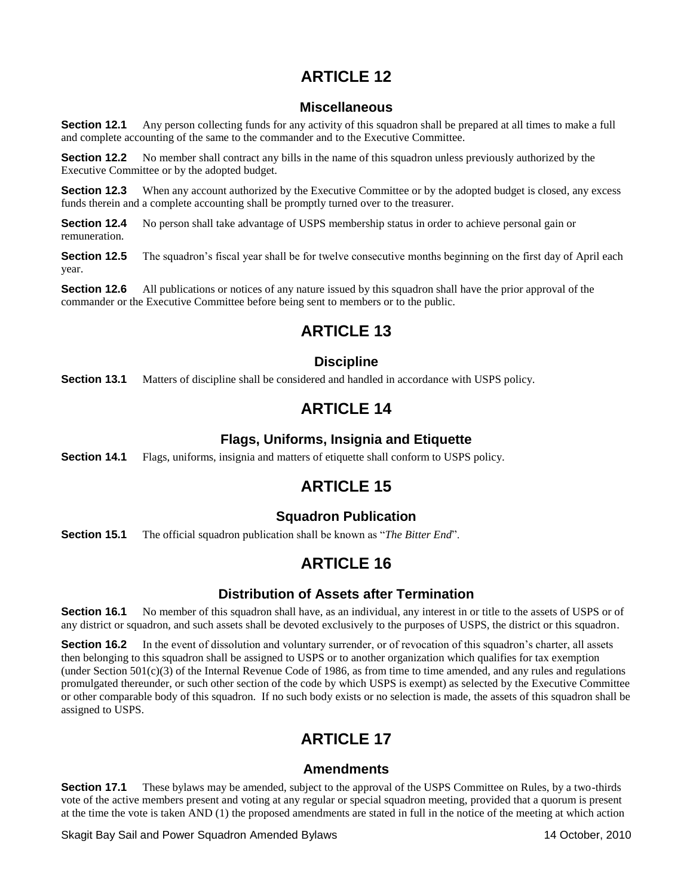### **Miscellaneous**

<span id="page-14-0"></span>**Section 12.1** Any person collecting funds for any activity of this squadron shall be prepared at all times to make a full and complete accounting of the same to the commander and to the Executive Committee.

**Section 12.2** No member shall contract any bills in the name of this squadron unless previously authorized by the Executive Committee or by the adopted budget.

**Section 12.3** When any account authorized by the Executive Committee or by the adopted budget is closed, any excess funds therein and a complete accounting shall be promptly turned over to the treasurer.

**Section 12.4** No person shall take advantage of USPS membership status in order to achieve personal gain or remuneration.

**Section 12.5** The squadron's fiscal year shall be for twelve consecutive months beginning on the first day of April each year.

**Section 12.6** All publications or notices of any nature issued by this squadron shall have the prior approval of the commander or the Executive Committee before being sent to members or to the public.

# **ARTICLE 13**

## **Discipline**

<span id="page-14-1"></span>**Section 13.1** Matters of discipline shall be considered and handled in accordance with USPS policy.

# **ARTICLE 14**

### **Flags, Uniforms, Insignia and Etiquette**

<span id="page-14-2"></span>**Section 14.1** Flags, uniforms, insignia and matters of etiquette shall conform to USPS policy.

# **ARTICLE 15**

### **Squadron Publication**

<span id="page-14-3"></span>**Section 15.1** The official squadron publication shall be known as "*The Bitter End*".

# **ARTICLE 16**

### **Distribution of Assets after Termination**

<span id="page-14-4"></span>**Section 16.1** No member of this squadron shall have, as an individual, any interest in or title to the assets of USPS or of any district or squadron, and such assets shall be devoted exclusively to the purposes of USPS, the district or this squadron.

**Section 16.2** In the event of dissolution and voluntary surrender, or of revocation of this squadron's charter, all assets then belonging to this squadron shall be assigned to USPS or to another organization which qualifies for tax exemption (under Section  $501(c)(3)$  of the Internal Revenue Code of 1986, as from time to time amended, and any rules and regulations promulgated thereunder, or such other section of the code by which USPS is exempt) as selected by the Executive Committee or other comparable body of this squadron. If no such body exists or no selection is made, the assets of this squadron shall be assigned to USPS.

# **ARTICLE 17**

### **Amendments**

<span id="page-14-5"></span>**Section 17.1** These bylaws may be amended, subject to the approval of the USPS Committee on Rules, by a two-thirds vote of the active members present and voting at any regular or special squadron meeting, provided that a quorum is present at the time the vote is taken AND (1) the proposed amendments are stated in full in the notice of the meeting at which action

Skagit Bay Sail and Power Squadron Amended Bylaws 14 October, 2010